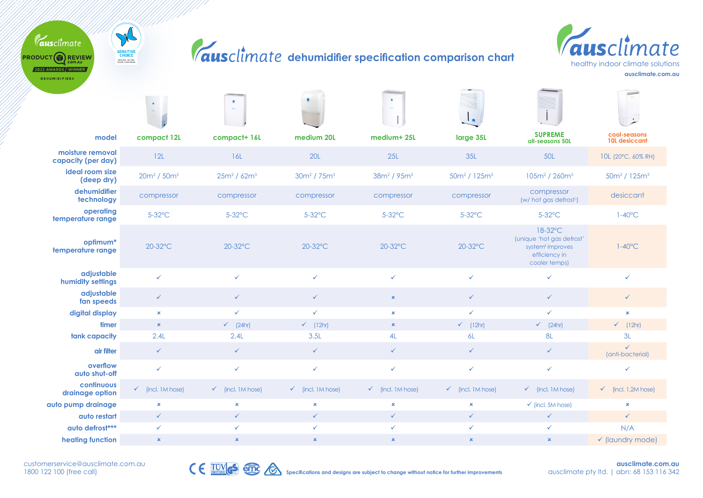## $\boldsymbol{climale}$  dehumidifier specification comparison char<mark>t</mark>



PRODUCT REVIEW 2022 AWARDS / WINNER **DEHUMIDIFIERS** 

Tausclimate

SENSITIVE<br>CHOICE<br><sup>NATIONAL ASTRALIA</sup>

|                                        | $\omega_{\rm c}$             | sin.                         |                              | $\bullet$                           | $\mathbf{I}_{\mathcal{B}}$           |                                                                                                        |                                      |
|----------------------------------------|------------------------------|------------------------------|------------------------------|-------------------------------------|--------------------------------------|--------------------------------------------------------------------------------------------------------|--------------------------------------|
| model                                  | compact 12L                  | compact+ 16L                 | medium 20L                   | medium+ 25L                         | large 35L                            | <b>SUPREME</b><br>all-seasons 50L                                                                      | cool-seasons<br><b>10L desiccant</b> |
| moisture removal<br>capacity (per day) | 12L                          | 16L                          | <b>20L</b>                   | 25L                                 | 35L                                  | 50L                                                                                                    | 10L (20°C, 60% RH)                   |
| ideal room size<br>(deep dry)          | $20m^2 / 50m^3$              | $25m^2/62m^3$                | $30m^2 / 75m^3$              | 38m <sup>2</sup> / 95m <sup>3</sup> | 50m <sup>2</sup> / 125m <sup>3</sup> | $105m^2/260m^3$                                                                                        | 50m <sup>2</sup> / 125m <sup>3</sup> |
| dehumidifier<br>technology             | compressor                   | compressor                   | compressor                   | compressor                          | compressor                           | compressor<br>(w/ hot gas defrost <sup>1</sup> )                                                       | desiccant                            |
| operating<br>temperature range         | 5-32°C                       | 5-32°C                       | 5-32°C                       | $5-32$ °C                           | 5-32°C                               | 5-32°C                                                                                                 | $1-40^{\circ}$ C                     |
| optimum*<br>temperature range          | 20-32°C                      | 20-32°C                      | 20-32°C                      | 20-32°C                             | 20-32°C                              | 18-32°C<br>(unique 'hot gas defrost'<br>system <sup>1</sup> improves<br>efficiency in<br>cooler temps) | $1-40^{\circ}$ C                     |
| adjustable<br>humidity settings        | $\checkmark$                 | $\checkmark$                 | $\checkmark$                 | $\checkmark$                        | $\checkmark$                         | $\checkmark$                                                                                           | ✓                                    |
| adjustable<br>fan speeds               | $\checkmark$                 | $\checkmark$                 | $\checkmark$                 | $\pmb{\times}$                      | $\checkmark$                         | $\checkmark$                                                                                           | $\checkmark$                         |
| digital display                        | $\pmb{\times}$               | $\checkmark$                 | $\checkmark$                 | $\pmb{\times}$                      | $\checkmark$                         | $\checkmark$                                                                                           | $\pmb{\times}$                       |
| timer                                  | $\pmb{\times}$               | $\checkmark$ (24hr)          | $\checkmark$ (12hr)          | $\pmb{\times}$                      | $\checkmark$ (12hr)                  | $\checkmark$ (24hr)                                                                                    | $\checkmark$ (12hr)                  |
| tank capacity                          | 2.4L                         | 2.4L                         | 3.5L                         | 4L                                  | 6L                                   | 8L                                                                                                     | 3L                                   |
| air filter                             | $\checkmark$                 | $\checkmark$                 | $\checkmark$                 | $\checkmark$                        | $\checkmark$                         | $\checkmark$                                                                                           | $\checkmark$<br>(anti-bacterial)     |
| overflow<br>auto shut-off              | $\checkmark$                 | $\checkmark$                 | $\checkmark$                 | $\checkmark$                        | $\checkmark$                         | $\checkmark$                                                                                           | $\checkmark$                         |
| continuous<br>drainage option          | $\checkmark$ (incl. 1M hose) | $\checkmark$ (incl. 1M hose) | $\checkmark$ (incl. 1M hose) | $\checkmark$ (incl. 1M hose)        | $\checkmark$ (incl. 1M hose)         | $\checkmark$ (incl. 1M hose)                                                                           | $\checkmark$ (incl. 1.2M hose)       |
| auto pump drainage                     | $\pmb{\times}$               | $\pmb{\times}$               | $\pmb{\times}$               | $\pmb{\times}$                      | $\pmb{\times}$                       | $\checkmark$ (incl. 5M hose)                                                                           | $\pmb{\times}$                       |
| auto restart                           | $\checkmark$                 | $\checkmark$                 | $\checkmark$                 | $\checkmark$                        | $\checkmark$                         | $\checkmark$                                                                                           | $\checkmark$                         |
| auto defrost***                        | $\checkmark$                 | ✓                            | ✓                            | $\checkmark$                        | ✓                                    | ✓                                                                                                      | N/A                                  |
| heating function                       | $\pmb{\times}$               | $\pmb{\times}$               | $\pmb{\times}$               | $\pmb{\times}$                      | $\pmb{\times}$                       | $\pmb{\times}$                                                                                         | v (laundry mode)                     |